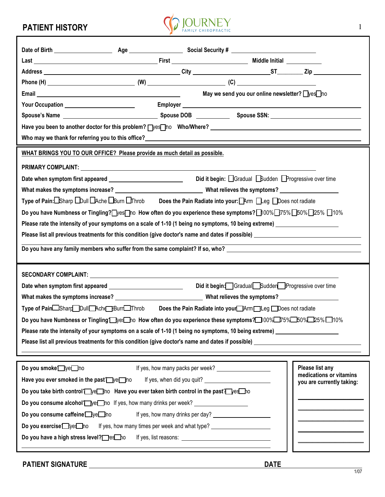## PATIENT HISTORY



|                                                                                                                      |  |  | May we send you our online newsletter? Wes ho |                           |  |  |  |  |
|----------------------------------------------------------------------------------------------------------------------|--|--|-----------------------------------------------|---------------------------|--|--|--|--|
|                                                                                                                      |  |  |                                               |                           |  |  |  |  |
|                                                                                                                      |  |  |                                               |                           |  |  |  |  |
|                                                                                                                      |  |  |                                               |                           |  |  |  |  |
|                                                                                                                      |  |  |                                               |                           |  |  |  |  |
| WHAT BRINGS YOU TO OUR OFFICE? Please provide as much detail as possible.                                            |  |  |                                               |                           |  |  |  |  |
|                                                                                                                      |  |  |                                               |                           |  |  |  |  |
|                                                                                                                      |  |  |                                               |                           |  |  |  |  |
|                                                                                                                      |  |  |                                               |                           |  |  |  |  |
| Type of Pain:□Sharp □Dull □Ache □Burn □Throb Does the Pain Radiate into your: □Arm □Leg □Does not radiate            |  |  |                                               |                           |  |  |  |  |
| Do you have Numbness or Tingling? wes Tho How often do you experience these symptoms? 100% 25% 25% 25% 25% 10%       |  |  |                                               |                           |  |  |  |  |
| Please rate the intensity of your symptoms on a scale of 1-10 (1 being no symptoms, 10 being extreme)                |  |  |                                               |                           |  |  |  |  |
|                                                                                                                      |  |  |                                               |                           |  |  |  |  |
| Do you have any family members who suffer from the same complaint? If so, who? _______________________________       |  |  |                                               |                           |  |  |  |  |
|                                                                                                                      |  |  |                                               |                           |  |  |  |  |
|                                                                                                                      |  |  |                                               |                           |  |  |  |  |
| Did it begin: Gradual Sudden Progressive over time                                                                   |  |  |                                               |                           |  |  |  |  |
|                                                                                                                      |  |  |                                               |                           |  |  |  |  |
| Type of Pain Shard Dull Achd Burr Finrob Does the Pain Radiate into your Arm Leg Does not radiate                    |  |  |                                               |                           |  |  |  |  |
| Do you have Numbness or Tingling Dyes ho How often do you experience these symptoms? 100% D75% B0% D25% D10%         |  |  |                                               |                           |  |  |  |  |
| Please rate the intensity of your symptoms on a scale of 1-10 (1 being no symptoms, 10 being extreme) ______________ |  |  |                                               |                           |  |  |  |  |
| Please list all previous treatments for this condition (give doctor's name and dates if possible) _____              |  |  |                                               |                           |  |  |  |  |
|                                                                                                                      |  |  |                                               |                           |  |  |  |  |
| Do you smoke bye ho                                                                                                  |  |  | If yes, how many packs per week?              | Please list any           |  |  |  |  |
| Have you ever smoked in the past we ho                                                                               |  |  |                                               | medications or vitamins   |  |  |  |  |
| Do you take birth control <i>pe</i> and Have you ever taken birth control in the past pesho                          |  |  |                                               | you are currently taking: |  |  |  |  |
| Do you consume alcohol <sup>T</sup> ye <sup>-</sup> ho If yes, how many drinks per week?                             |  |  |                                               |                           |  |  |  |  |
| Do you consume caffeine bye ho                                                                                       |  |  | If yes, how many drinks per day?              |                           |  |  |  |  |
|                                                                                                                      |  |  |                                               |                           |  |  |  |  |

Do you exercise<sup>r</sup> execution Figures, how many times per week and what type?

Do you have a high stress level? es how If yes, list reasons: \_\_\_\_\_\_\_\_\_\_\_\_\_\_\_\_\_\_

 $\overline{\phantom{a}}$  , which is a set of the set of the set of the set of the set of the set of the set of the set of the set of the set of the set of the set of the set of the set of the set of the set of the set of the set of th  $\overline{\phantom{a}}$  , which is a set of the set of the set of the set of the set of the set of the set of the set of the set of the set of the set of the set of the set of the set of the set of the set of the set of the set of th  $\overline{\phantom{a}}$  , we can also the contract of  $\overline{\phantom{a}}$